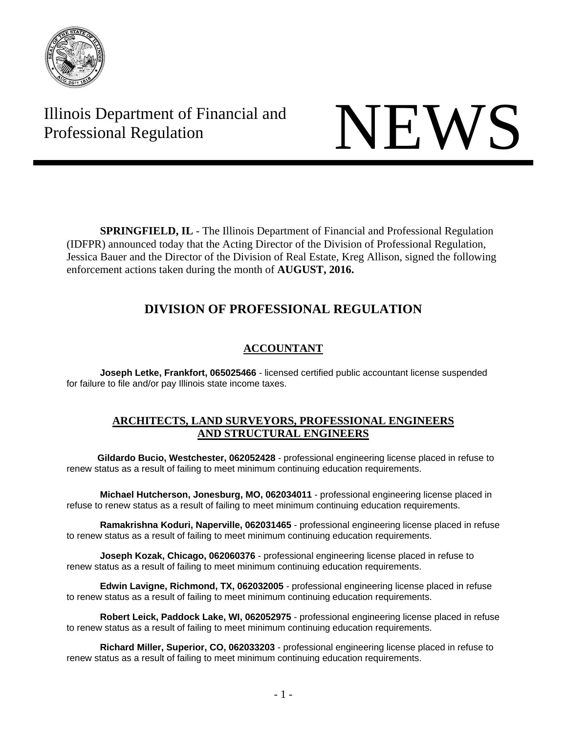

Illinois Department of Financial and Illinois Department of Financial and<br>Professional Regulation



**SPRINGFIELD, IL** - The Illinois Department of Financial and Professional Regulation (IDFPR) announced today that the Acting Director of the Division of Professional Regulation, Jessica Bauer and the Director of the Division of Real Estate, Kreg Allison, signed the following enforcement actions taken during the month of **AUGUST, 2016.** 

# **DIVISION OF PROFESSIONAL REGULATION**

## **ACCOUNTANT**

**Joseph Letke, Frankfort, 065025466** - licensed certified public accountant license suspended for failure to file and/or pay Illinois state income taxes.

## **ARCHITECTS, LAND SURVEYORS, PROFESSIONAL ENGINEERS AND STRUCTURAL ENGINEERS**

 **Gildardo Bucio, Westchester, 062052428** - professional engineering license placed in refuse to renew status as a result of failing to meet minimum continuing education requirements.

**Michael Hutcherson, Jonesburg, MO, 062034011** - professional engineering license placed in refuse to renew status as a result of failing to meet minimum continuing education requirements.

**Ramakrishna Koduri, Naperville, 062031465** - professional engineering license placed in refuse to renew status as a result of failing to meet minimum continuing education requirements.

**Joseph Kozak, Chicago, 062060376** - professional engineering license placed in refuse to renew status as a result of failing to meet minimum continuing education requirements.

**Edwin Lavigne, Richmond, TX, 062032005** - professional engineering license placed in refuse to renew status as a result of failing to meet minimum continuing education requirements.

**Robert Leick, Paddock Lake, WI, 062052975** - professional engineering license placed in refuse to renew status as a result of failing to meet minimum continuing education requirements.

**Richard Miller, Superior, CO, 062033203** - professional engineering license placed in refuse to renew status as a result of failing to meet minimum continuing education requirements.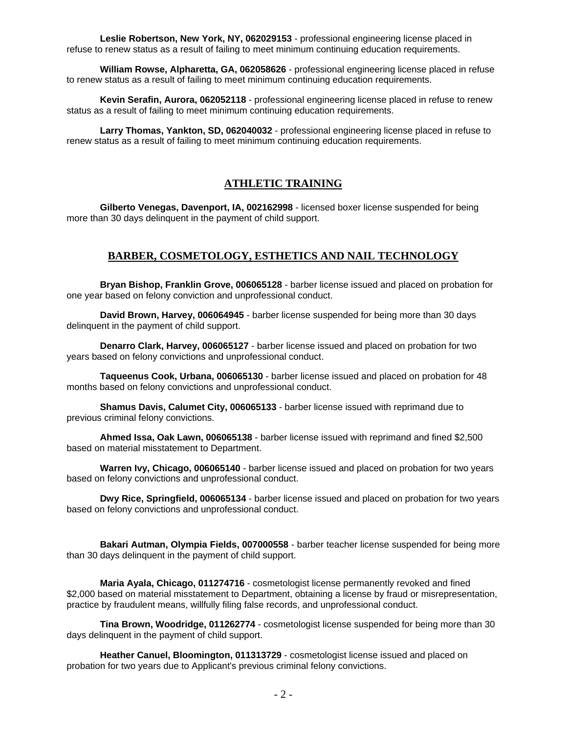**Leslie Robertson, New York, NY, 062029153** - professional engineering license placed in refuse to renew status as a result of failing to meet minimum continuing education requirements.

**William Rowse, Alpharetta, GA, 062058626** - professional engineering license placed in refuse to renew status as a result of failing to meet minimum continuing education requirements.

**Kevin Serafin, Aurora, 062052118** - professional engineering license placed in refuse to renew status as a result of failing to meet minimum continuing education requirements.

**Larry Thomas, Yankton, SD, 062040032** - professional engineering license placed in refuse to renew status as a result of failing to meet minimum continuing education requirements.

### **ATHLETIC TRAINING**

**Gilberto Venegas, Davenport, IA, 002162998** - licensed boxer license suspended for being more than 30 days delinquent in the payment of child support.

## **BARBER, COSMETOLOGY, ESTHETICS AND NAIL TECHNOLOGY**

**Bryan Bishop, Franklin Grove, 006065128** - barber license issued and placed on probation for one year based on felony conviction and unprofessional conduct.

**David Brown, Harvey, 006064945** - barber license suspended for being more than 30 days delinquent in the payment of child support.

**Denarro Clark, Harvey, 006065127** - barber license issued and placed on probation for two years based on felony convictions and unprofessional conduct.

**Taqueenus Cook, Urbana, 006065130** - barber license issued and placed on probation for 48 months based on felony convictions and unprofessional conduct.

**Shamus Davis, Calumet City, 006065133** - barber license issued with reprimand due to previous criminal felony convictions.

**Ahmed Issa, Oak Lawn, 006065138** - barber license issued with reprimand and fined \$2,500 based on material misstatement to Department.

**Warren Ivy, Chicago, 006065140** - barber license issued and placed on probation for two years based on felony convictions and unprofessional conduct.

**Dwy Rice, Springfield, 006065134** - barber license issued and placed on probation for two years based on felony convictions and unprofessional conduct.

**Bakari Autman, Olympia Fields, 007000558** - barber teacher license suspended for being more than 30 days delinquent in the payment of child support.

**Maria Ayala, Chicago, 011274716** - cosmetologist license permanently revoked and fined \$2,000 based on material misstatement to Department, obtaining a license by fraud or misrepresentation, practice by fraudulent means, willfully filing false records, and unprofessional conduct.

**Tina Brown, Woodridge, 011262774** - cosmetologist license suspended for being more than 30 days delinquent in the payment of child support.

**Heather Canuel, Bloomington, 011313729** - cosmetologist license issued and placed on probation for two years due to Applicant's previous criminal felony convictions.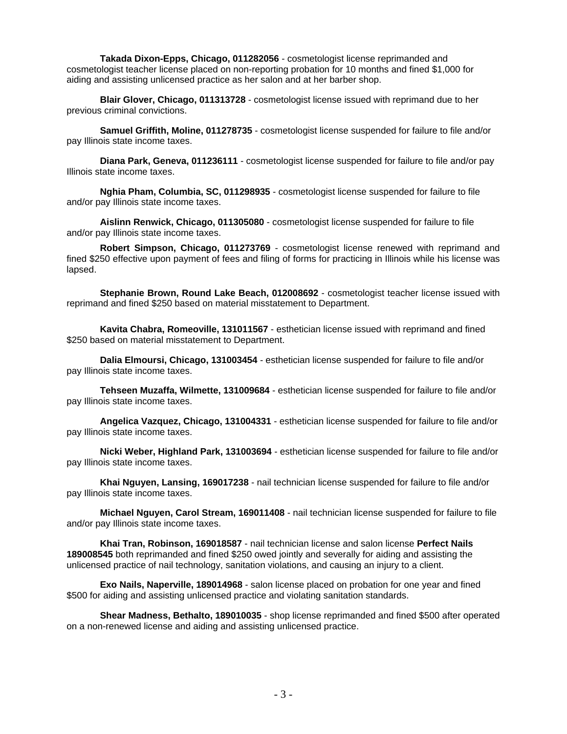**Takada Dixon-Epps, Chicago, 011282056** - cosmetologist license reprimanded and cosmetologist teacher license placed on non-reporting probation for 10 months and fined \$1,000 for aiding and assisting unlicensed practice as her salon and at her barber shop.

**Blair Glover, Chicago, 011313728** - cosmetologist license issued with reprimand due to her previous criminal convictions.

**Samuel Griffith, Moline, 011278735** - cosmetologist license suspended for failure to file and/or pay Illinois state income taxes.

**Diana Park, Geneva, 011236111** - cosmetologist license suspended for failure to file and/or pay Illinois state income taxes.

**Nghia Pham, Columbia, SC, 011298935** - cosmetologist license suspended for failure to file and/or pay Illinois state income taxes.

**Aislinn Renwick, Chicago, 011305080** - cosmetologist license suspended for failure to file and/or pay Illinois state income taxes.

**Robert Simpson, Chicago, 011273769** - cosmetologist license renewed with reprimand and fined \$250 effective upon payment of fees and filing of forms for practicing in Illinois while his license was lapsed.

**Stephanie Brown, Round Lake Beach, 012008692** - cosmetologist teacher license issued with reprimand and fined \$250 based on material misstatement to Department.

**Kavita Chabra, Romeoville, 131011567** - esthetician license issued with reprimand and fined \$250 based on material misstatement to Department.

**Dalia Elmoursi, Chicago, 131003454** - esthetician license suspended for failure to file and/or pay Illinois state income taxes.

**Tehseen Muzaffa, Wilmette, 131009684** - esthetician license suspended for failure to file and/or pay Illinois state income taxes.

**Angelica Vazquez, Chicago, 131004331** - esthetician license suspended for failure to file and/or pay Illinois state income taxes.

**Nicki Weber, Highland Park, 131003694** - esthetician license suspended for failure to file and/or pay Illinois state income taxes.

**Khai Nguyen, Lansing, 169017238** - nail technician license suspended for failure to file and/or pay Illinois state income taxes.

**Michael Nguyen, Carol Stream, 169011408** - nail technician license suspended for failure to file and/or pay Illinois state income taxes.

**Khai Tran, Robinson, 169018587** - nail technician license and salon license **Perfect Nails 189008545** both reprimanded and fined \$250 owed jointly and severally for aiding and assisting the unlicensed practice of nail technology, sanitation violations, and causing an injury to a client.

**Exo Nails, Naperville, 189014968** - salon license placed on probation for one year and fined \$500 for aiding and assisting unlicensed practice and violating sanitation standards.

**Shear Madness, Bethalto, 189010035** - shop license reprimanded and fined \$500 after operated on a non-renewed license and aiding and assisting unlicensed practice.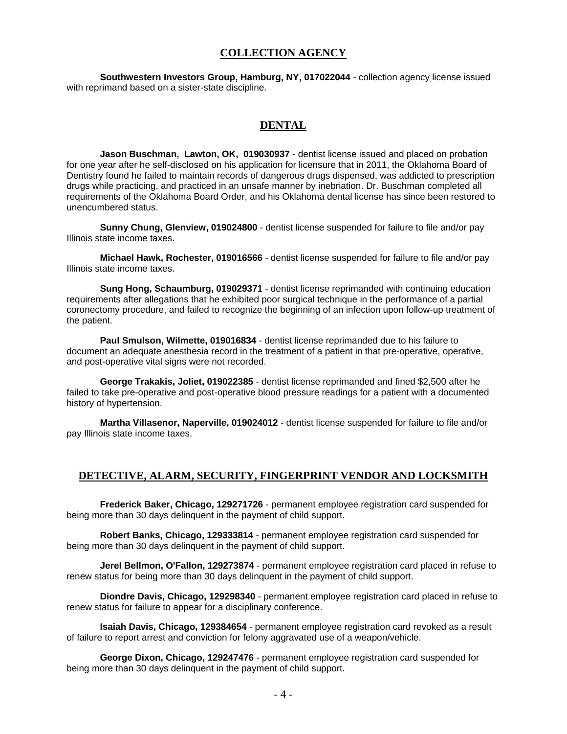#### **COLLECTION AGENCY**

**Southwestern Investors Group, Hamburg, NY, 017022044** - collection agency license issued with reprimand based on a sister-state discipline.

#### **DENTAL**

**Jason Buschman, Lawton, OK, 019030937** - dentist license issued and placed on probation for one year after he self-disclosed on his application for licensure that in 2011, the Oklahoma Board of Dentistry found he failed to maintain records of dangerous drugs dispensed, was addicted to prescription drugs while practicing, and practiced in an unsafe manner by inebriation. Dr. Buschman completed all requirements of the Oklahoma Board Order, and his Oklahoma dental license has since been restored to unencumbered status.

**Sunny Chung, Glenview, 019024800** - dentist license suspended for failure to file and/or pay Illinois state income taxes.

**Michael Hawk, Rochester, 019016566** - dentist license suspended for failure to file and/or pay Illinois state income taxes.

**Sung Hong, Schaumburg, 019029371** - dentist license reprimanded with continuing education requirements after allegations that he exhibited poor surgical technique in the performance of a partial coronectomy procedure, and failed to recognize the beginning of an infection upon follow-up treatment of the patient.

**Paul Smulson, Wilmette, 019016834** - dentist license reprimanded due to his failure to document an adequate anesthesia record in the treatment of a patient in that pre-operative, operative, and post-operative vital signs were not recorded.

**George Trakakis, Joliet, 019022385** - dentist license reprimanded and fined \$2,500 after he failed to take pre-operative and post-operative blood pressure readings for a patient with a documented history of hypertension.

**Martha Villasenor, Naperville, 019024012** - dentist license suspended for failure to file and/or pay Illinois state income taxes.

#### **DETECTIVE, ALARM, SECURITY, FINGERPRINT VENDOR AND LOCKSMITH**

**Frederick Baker, Chicago, 129271726** - permanent employee registration card suspended for being more than 30 days delinquent in the payment of child support.

**Robert Banks, Chicago, 129333814** - permanent employee registration card suspended for being more than 30 days delinquent in the payment of child support.

**Jerel Bellmon, O'Fallon, 129273874** - permanent employee registration card placed in refuse to renew status for being more than 30 days delinquent in the payment of child support.

**Diondre Davis, Chicago, 129298340** - permanent employee registration card placed in refuse to renew status for failure to appear for a disciplinary conference.

**Isaiah Davis, Chicago, 129384654** - permanent employee registration card revoked as a result of failure to report arrest and conviction for felony aggravated use of a weapon/vehicle.

**George Dixon, Chicago, 129247476** - permanent employee registration card suspended for being more than 30 days delinquent in the payment of child support.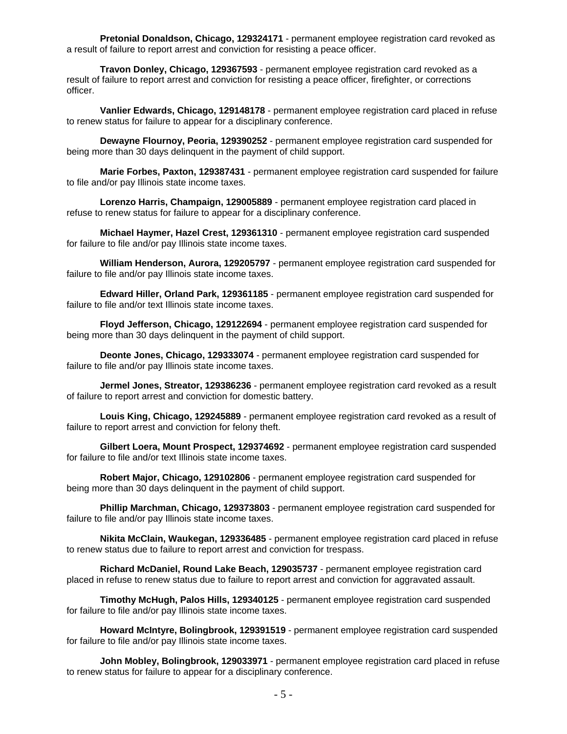**Pretonial Donaldson, Chicago, 129324171** - permanent employee registration card revoked as a result of failure to report arrest and conviction for resisting a peace officer.

**Travon Donley, Chicago, 129367593** - permanent employee registration card revoked as a result of failure to report arrest and conviction for resisting a peace officer, firefighter, or corrections officer.

**Vanlier Edwards, Chicago, 129148178** - permanent employee registration card placed in refuse to renew status for failure to appear for a disciplinary conference.

**Dewayne Flournoy, Peoria, 129390252** - permanent employee registration card suspended for being more than 30 days delinquent in the payment of child support.

**Marie Forbes, Paxton, 129387431** - permanent employee registration card suspended for failure to file and/or pay Illinois state income taxes.

**Lorenzo Harris, Champaign, 129005889** - permanent employee registration card placed in refuse to renew status for failure to appear for a disciplinary conference.

**Michael Haymer, Hazel Crest, 129361310** - permanent employee registration card suspended for failure to file and/or pay Illinois state income taxes.

**William Henderson, Aurora, 129205797** - permanent employee registration card suspended for failure to file and/or pay Illinois state income taxes.

**Edward Hiller, Orland Park, 129361185** - permanent employee registration card suspended for failure to file and/or text Illinois state income taxes.

**Floyd Jefferson, Chicago, 129122694** - permanent employee registration card suspended for being more than 30 days delinquent in the payment of child support.

**Deonte Jones, Chicago, 129333074** - permanent employee registration card suspended for failure to file and/or pay Illinois state income taxes.

**Jermel Jones, Streator, 129386236** - permanent employee registration card revoked as a result of failure to report arrest and conviction for domestic battery.

**Louis King, Chicago, 129245889** - permanent employee registration card revoked as a result of failure to report arrest and conviction for felony theft.

**Gilbert Loera, Mount Prospect, 129374692** - permanent employee registration card suspended for failure to file and/or text Illinois state income taxes.

**Robert Major, Chicago, 129102806** - permanent employee registration card suspended for being more than 30 days delinquent in the payment of child support.

**Phillip Marchman, Chicago, 129373803** - permanent employee registration card suspended for failure to file and/or pay Illinois state income taxes.

**Nikita McClain, Waukegan, 129336485** - permanent employee registration card placed in refuse to renew status due to failure to report arrest and conviction for trespass.

**Richard McDaniel, Round Lake Beach, 129035737** - permanent employee registration card placed in refuse to renew status due to failure to report arrest and conviction for aggravated assault.

**Timothy McHugh, Palos Hills, 129340125** - permanent employee registration card suspended for failure to file and/or pay Illinois state income taxes.

**Howard McIntyre, Bolingbrook, 129391519** - permanent employee registration card suspended for failure to file and/or pay Illinois state income taxes.

**John Mobley, Bolingbrook, 129033971** - permanent employee registration card placed in refuse to renew status for failure to appear for a disciplinary conference.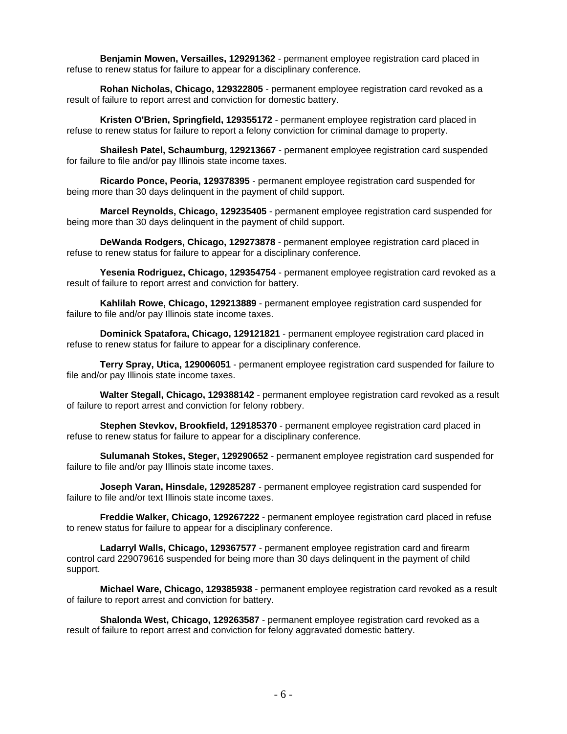**Benjamin Mowen, Versailles, 129291362** - permanent employee registration card placed in refuse to renew status for failure to appear for a disciplinary conference.

**Rohan Nicholas, Chicago, 129322805** - permanent employee registration card revoked as a result of failure to report arrest and conviction for domestic battery.

**Kristen O'Brien, Springfield, 129355172** - permanent employee registration card placed in refuse to renew status for failure to report a felony conviction for criminal damage to property.

**Shailesh Patel, Schaumburg, 129213667** - permanent employee registration card suspended for failure to file and/or pay Illinois state income taxes.

**Ricardo Ponce, Peoria, 129378395** - permanent employee registration card suspended for being more than 30 days delinquent in the payment of child support.

**Marcel Reynolds, Chicago, 129235405** - permanent employee registration card suspended for being more than 30 days delinquent in the payment of child support.

**DeWanda Rodgers, Chicago, 129273878** - permanent employee registration card placed in refuse to renew status for failure to appear for a disciplinary conference.

**Yesenia Rodriguez, Chicago, 129354754** - permanent employee registration card revoked as a result of failure to report arrest and conviction for battery.

**Kahlilah Rowe, Chicago, 129213889** - permanent employee registration card suspended for failure to file and/or pay Illinois state income taxes.

**Dominick Spatafora, Chicago, 129121821** - permanent employee registration card placed in refuse to renew status for failure to appear for a disciplinary conference.

**Terry Spray, Utica, 129006051** - permanent employee registration card suspended for failure to file and/or pay Illinois state income taxes.

**Walter Stegall, Chicago, 129388142** - permanent employee registration card revoked as a result of failure to report arrest and conviction for felony robbery.

**Stephen Stevkov, Brookfield, 129185370** - permanent employee registration card placed in refuse to renew status for failure to appear for a disciplinary conference.

**Sulumanah Stokes, Steger, 129290652** - permanent employee registration card suspended for failure to file and/or pay Illinois state income taxes.

**Joseph Varan, Hinsdale, 129285287** - permanent employee registration card suspended for failure to file and/or text Illinois state income taxes.

**Freddie Walker, Chicago, 129267222** - permanent employee registration card placed in refuse to renew status for failure to appear for a disciplinary conference.

**Ladarryl Walls, Chicago, 129367577** - permanent employee registration card and firearm control card 229079616 suspended for being more than 30 days delinquent in the payment of child support.

**Michael Ware, Chicago, 129385938** - permanent employee registration card revoked as a result of failure to report arrest and conviction for battery.

**Shalonda West, Chicago, 129263587** - permanent employee registration card revoked as a result of failure to report arrest and conviction for felony aggravated domestic battery.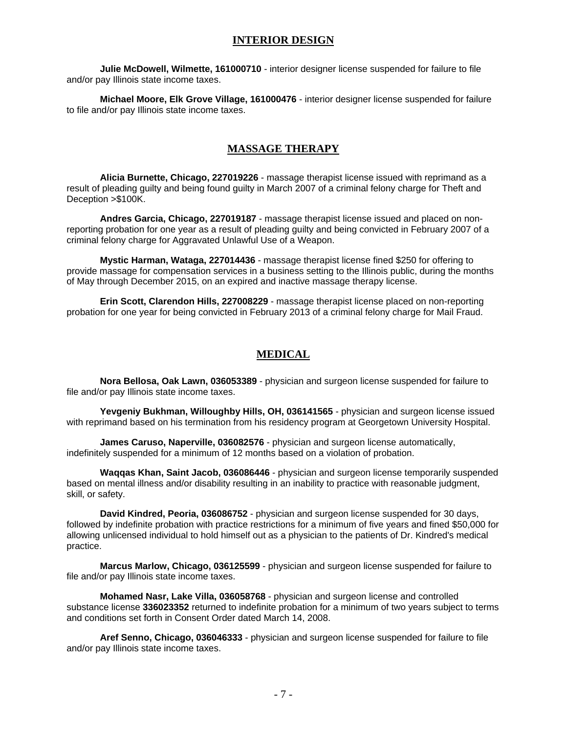### **INTERIOR DESIGN**

**Julie McDowell, Wilmette, 161000710** - interior designer license suspended for failure to file and/or pay Illinois state income taxes.

**Michael Moore, Elk Grove Village, 161000476** - interior designer license suspended for failure to file and/or pay Illinois state income taxes.

### **MASSAGE THERAPY**

**Alicia Burnette, Chicago, 227019226** - massage therapist license issued with reprimand as a result of pleading guilty and being found guilty in March 2007 of a criminal felony charge for Theft and Deception >\$100K.

**Andres Garcia, Chicago, 227019187** - massage therapist license issued and placed on nonreporting probation for one year as a result of pleading guilty and being convicted in February 2007 of a criminal felony charge for Aggravated Unlawful Use of a Weapon.

**Mystic Harman, Wataga, 227014436** - massage therapist license fined \$250 for offering to provide massage for compensation services in a business setting to the Illinois public, during the months of May through December 2015, on an expired and inactive massage therapy license.

**Erin Scott, Clarendon Hills, 227008229** - massage therapist license placed on non-reporting probation for one year for being convicted in February 2013 of a criminal felony charge for Mail Fraud.

### **MEDICAL**

**Nora Bellosa, Oak Lawn, 036053389** - physician and surgeon license suspended for failure to file and/or pay Illinois state income taxes.

**Yevgeniy Bukhman, Willoughby Hills, OH, 036141565** - physician and surgeon license issued with reprimand based on his termination from his residency program at Georgetown University Hospital.

**James Caruso, Naperville, 036082576** - physician and surgeon license automatically, indefinitely suspended for a minimum of 12 months based on a violation of probation.

**Waqqas Khan, Saint Jacob, 036086446** - physician and surgeon license temporarily suspended based on mental illness and/or disability resulting in an inability to practice with reasonable judgment, skill, or safety.

**David Kindred, Peoria, 036086752** - physician and surgeon license suspended for 30 days, followed by indefinite probation with practice restrictions for a minimum of five years and fined \$50,000 for allowing unlicensed individual to hold himself out as a physician to the patients of Dr. Kindred's medical practice.

**Marcus Marlow, Chicago, 036125599** - physician and surgeon license suspended for failure to file and/or pay Illinois state income taxes.

**Mohamed Nasr, Lake Villa, 036058768** - physician and surgeon license and controlled substance license **336023352** returned to indefinite probation for a minimum of two years subject to terms and conditions set forth in Consent Order dated March 14, 2008.

**Aref Senno, Chicago, 036046333** - physician and surgeon license suspended for failure to file and/or pay Illinois state income taxes.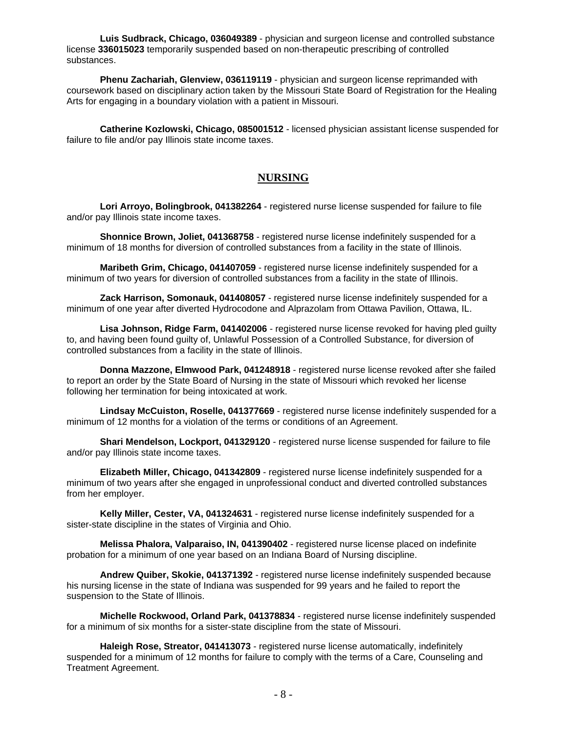**Luis Sudbrack, Chicago, 036049389** - physician and surgeon license and controlled substance license **336015023** temporarily suspended based on non-therapeutic prescribing of controlled substances.

**Phenu Zachariah, Glenview, 036119119** - physician and surgeon license reprimanded with coursework based on disciplinary action taken by the Missouri State Board of Registration for the Healing Arts for engaging in a boundary violation with a patient in Missouri.

**Catherine Kozlowski, Chicago, 085001512** - licensed physician assistant license suspended for failure to file and/or pay Illinois state income taxes.

### **NURSING**

**Lori Arroyo, Bolingbrook, 041382264** - registered nurse license suspended for failure to file and/or pay Illinois state income taxes.

**Shonnice Brown, Joliet, 041368758** - registered nurse license indefinitely suspended for a minimum of 18 months for diversion of controlled substances from a facility in the state of Illinois.

**Maribeth Grim, Chicago, 041407059** - registered nurse license indefinitely suspended for a minimum of two years for diversion of controlled substances from a facility in the state of Illinois.

**Zack Harrison, Somonauk, 041408057** - registered nurse license indefinitely suspended for a minimum of one year after diverted Hydrocodone and Alprazolam from Ottawa Pavilion, Ottawa, IL.

**Lisa Johnson, Ridge Farm, 041402006** - registered nurse license revoked for having pled guilty to, and having been found guilty of, Unlawful Possession of a Controlled Substance, for diversion of controlled substances from a facility in the state of Illinois.

**Donna Mazzone, Elmwood Park, 041248918** - registered nurse license revoked after she failed to report an order by the State Board of Nursing in the state of Missouri which revoked her license following her termination for being intoxicated at work.

**Lindsay McCuiston, Roselle, 041377669** - registered nurse license indefinitely suspended for a minimum of 12 months for a violation of the terms or conditions of an Agreement.

**Shari Mendelson, Lockport, 041329120** - registered nurse license suspended for failure to file and/or pay Illinois state income taxes.

**Elizabeth Miller, Chicago, 041342809** - registered nurse license indefinitely suspended for a minimum of two years after she engaged in unprofessional conduct and diverted controlled substances from her employer.

**Kelly Miller, Cester, VA, 041324631** - registered nurse license indefinitely suspended for a sister-state discipline in the states of Virginia and Ohio.

**Melissa Phalora, Valparaiso, IN, 041390402** - registered nurse license placed on indefinite probation for a minimum of one year based on an Indiana Board of Nursing discipline.

**Andrew Quiber, Skokie, 041371392** - registered nurse license indefinitely suspended because his nursing license in the state of Indiana was suspended for 99 years and he failed to report the suspension to the State of Illinois.

**Michelle Rockwood, Orland Park, 041378834** - registered nurse license indefinitely suspended for a minimum of six months for a sister-state discipline from the state of Missouri.

**Haleigh Rose, Streator, 041413073** - registered nurse license automatically, indefinitely suspended for a minimum of 12 months for failure to comply with the terms of a Care, Counseling and Treatment Agreement.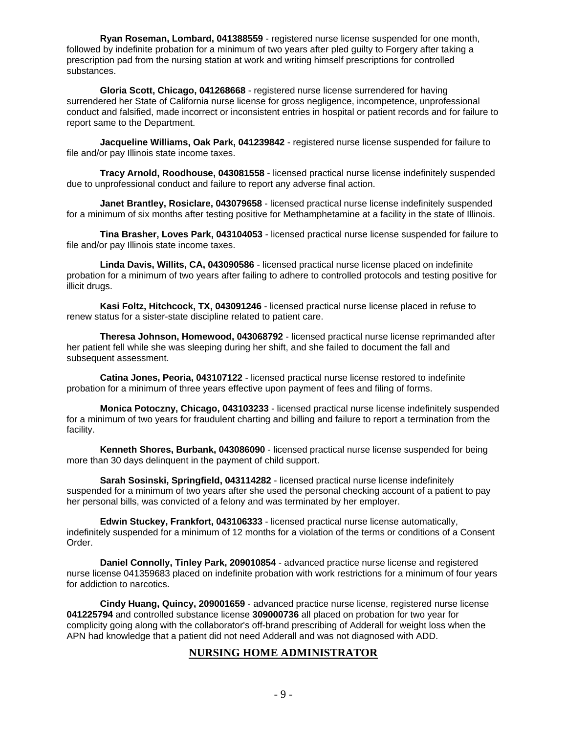**Ryan Roseman, Lombard, 041388559** - registered nurse license suspended for one month, followed by indefinite probation for a minimum of two years after pled guilty to Forgery after taking a prescription pad from the nursing station at work and writing himself prescriptions for controlled substances.

**Gloria Scott, Chicago, 041268668** - registered nurse license surrendered for having surrendered her State of California nurse license for gross negligence, incompetence, unprofessional conduct and falsified, made incorrect or inconsistent entries in hospital or patient records and for failure to report same to the Department.

**Jacqueline Williams, Oak Park, 041239842** - registered nurse license suspended for failure to file and/or pay Illinois state income taxes.

**Tracy Arnold, Roodhouse, 043081558** - licensed practical nurse license indefinitely suspended due to unprofessional conduct and failure to report any adverse final action.

**Janet Brantley, Rosiclare, 043079658** - licensed practical nurse license indefinitely suspended for a minimum of six months after testing positive for Methamphetamine at a facility in the state of Illinois.

**Tina Brasher, Loves Park, 043104053** - licensed practical nurse license suspended for failure to file and/or pay Illinois state income taxes.

**Linda Davis, Willits, CA, 043090586** - licensed practical nurse license placed on indefinite probation for a minimum of two years after failing to adhere to controlled protocols and testing positive for illicit drugs.

**Kasi Foltz, Hitchcock, TX, 043091246** - licensed practical nurse license placed in refuse to renew status for a sister-state discipline related to patient care.

**Theresa Johnson, Homewood, 043068792** - licensed practical nurse license reprimanded after her patient fell while she was sleeping during her shift, and she failed to document the fall and subsequent assessment.

**Catina Jones, Peoria, 043107122** - licensed practical nurse license restored to indefinite probation for a minimum of three years effective upon payment of fees and filing of forms.

**Monica Potoczny, Chicago, 043103233** - licensed practical nurse license indefinitely suspended for a minimum of two years for fraudulent charting and billing and failure to report a termination from the facility.

**Kenneth Shores, Burbank, 043086090** - licensed practical nurse license suspended for being more than 30 days delinquent in the payment of child support.

**Sarah Sosinski, Springfield, 043114282** - licensed practical nurse license indefinitely suspended for a minimum of two years after she used the personal checking account of a patient to pay her personal bills, was convicted of a felony and was terminated by her employer.

**Edwin Stuckey, Frankfort, 043106333** - licensed practical nurse license automatically, indefinitely suspended for a minimum of 12 months for a violation of the terms or conditions of a Consent Order.

**Daniel Connolly, Tinley Park, 209010854** - advanced practice nurse license and registered nurse license 041359683 placed on indefinite probation with work restrictions for a minimum of four years for addiction to narcotics.

**Cindy Huang, Quincy, 209001659** - advanced practice nurse license, registered nurse license **041225794** and controlled substance license **309000736** all placed on probation for two year for complicity going along with the collaborator's off-brand prescribing of Adderall for weight loss when the APN had knowledge that a patient did not need Adderall and was not diagnosed with ADD.

#### **NURSING HOME ADMINISTRATOR**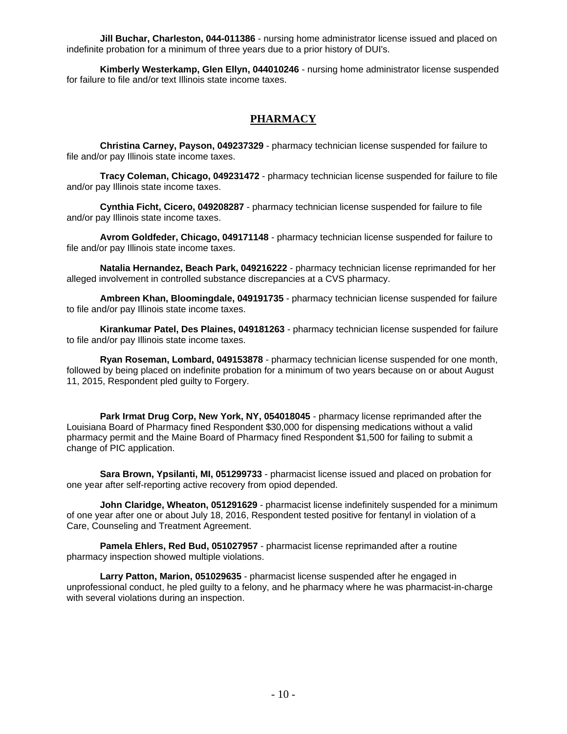**Jill Buchar, Charleston, 044-011386** - nursing home administrator license issued and placed on indefinite probation for a minimum of three years due to a prior history of DUI's.

**Kimberly Westerkamp, Glen Ellyn, 044010246** - nursing home administrator license suspended for failure to file and/or text Illinois state income taxes.

## **PHARMACY**

**Christina Carney, Payson, 049237329** - pharmacy technician license suspended for failure to file and/or pay Illinois state income taxes.

**Tracy Coleman, Chicago, 049231472** - pharmacy technician license suspended for failure to file and/or pay Illinois state income taxes.

**Cynthia Ficht, Cicero, 049208287** - pharmacy technician license suspended for failure to file and/or pay Illinois state income taxes.

**Avrom Goldfeder, Chicago, 049171148** - pharmacy technician license suspended for failure to file and/or pay Illinois state income taxes.

**Natalia Hernandez, Beach Park, 049216222** - pharmacy technician license reprimanded for her alleged involvement in controlled substance discrepancies at a CVS pharmacy.

**Ambreen Khan, Bloomingdale, 049191735** - pharmacy technician license suspended for failure to file and/or pay Illinois state income taxes.

**Kirankumar Patel, Des Plaines, 049181263** - pharmacy technician license suspended for failure to file and/or pay Illinois state income taxes.

**Ryan Roseman, Lombard, 049153878** - pharmacy technician license suspended for one month, followed by being placed on indefinite probation for a minimum of two years because on or about August 11, 2015, Respondent pled guilty to Forgery.

**Park Irmat Drug Corp, New York, NY, 054018045** - pharmacy license reprimanded after the Louisiana Board of Pharmacy fined Respondent \$30,000 for dispensing medications without a valid pharmacy permit and the Maine Board of Pharmacy fined Respondent \$1,500 for failing to submit a change of PIC application.

**Sara Brown, Ypsilanti, MI, 051299733** - pharmacist license issued and placed on probation for one year after self-reporting active recovery from opiod depended.

**John Claridge, Wheaton, 051291629** - pharmacist license indefinitely suspended for a minimum of one year after one or about July 18, 2016, Respondent tested positive for fentanyl in violation of a Care, Counseling and Treatment Agreement.

**Pamela Ehlers, Red Bud, 051027957** - pharmacist license reprimanded after a routine pharmacy inspection showed multiple violations.

**Larry Patton, Marion, 051029635** - pharmacist license suspended after he engaged in unprofessional conduct, he pled guilty to a felony, and he pharmacy where he was pharmacist-in-charge with several violations during an inspection.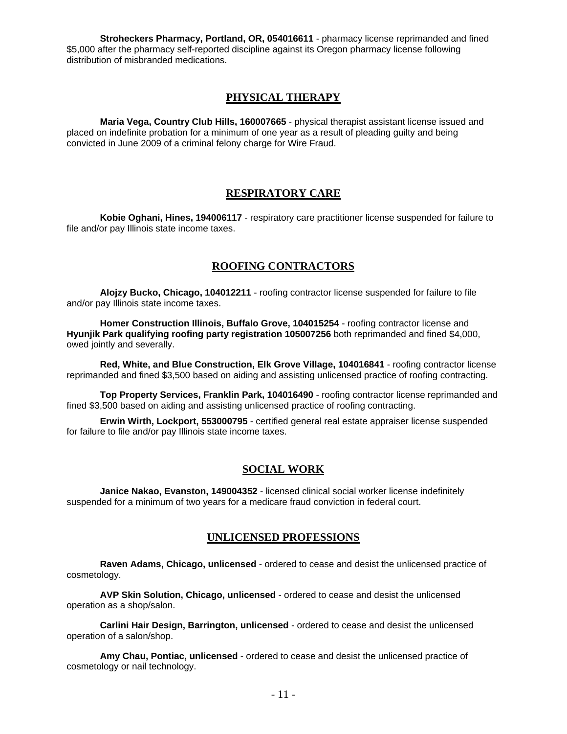**Stroheckers Pharmacy, Portland, OR, 054016611** - pharmacy license reprimanded and fined \$5,000 after the pharmacy self-reported discipline against its Oregon pharmacy license following distribution of misbranded medications.

#### **PHYSICAL THERAPY**

**Maria Vega, Country Club Hills, 160007665** - physical therapist assistant license issued and placed on indefinite probation for a minimum of one year as a result of pleading guilty and being convicted in June 2009 of a criminal felony charge for Wire Fraud.

## **RESPIRATORY CARE**

**Kobie Oghani, Hines, 194006117** - respiratory care practitioner license suspended for failure to file and/or pay Illinois state income taxes.

### **ROOFING CONTRACTORS**

**Alojzy Bucko, Chicago, 104012211** - roofing contractor license suspended for failure to file and/or pay Illinois state income taxes.

**Homer Construction Illinois, Buffalo Grove, 104015254** - roofing contractor license and **Hyunjik Park qualifying roofing party registration 105007256** both reprimanded and fined \$4,000, owed jointly and severally.

**Red, White, and Blue Construction, Elk Grove Village, 104016841** - roofing contractor license reprimanded and fined \$3,500 based on aiding and assisting unlicensed practice of roofing contracting.

**Top Property Services, Franklin Park, 104016490** - roofing contractor license reprimanded and fined \$3,500 based on aiding and assisting unlicensed practice of roofing contracting.

**Erwin Wirth, Lockport, 553000795** - certified general real estate appraiser license suspended for failure to file and/or pay Illinois state income taxes.

## **SOCIAL WORK**

**Janice Nakao, Evanston, 149004352** - licensed clinical social worker license indefinitely suspended for a minimum of two years for a medicare fraud conviction in federal court.

#### **UNLICENSED PROFESSIONS**

**Raven Adams, Chicago, unlicensed** - ordered to cease and desist the unlicensed practice of cosmetology.

**AVP Skin Solution, Chicago, unlicensed** - ordered to cease and desist the unlicensed operation as a shop/salon.

**Carlini Hair Design, Barrington, unlicensed** - ordered to cease and desist the unlicensed operation of a salon/shop.

**Amy Chau, Pontiac, unlicensed** - ordered to cease and desist the unlicensed practice of cosmetology or nail technology.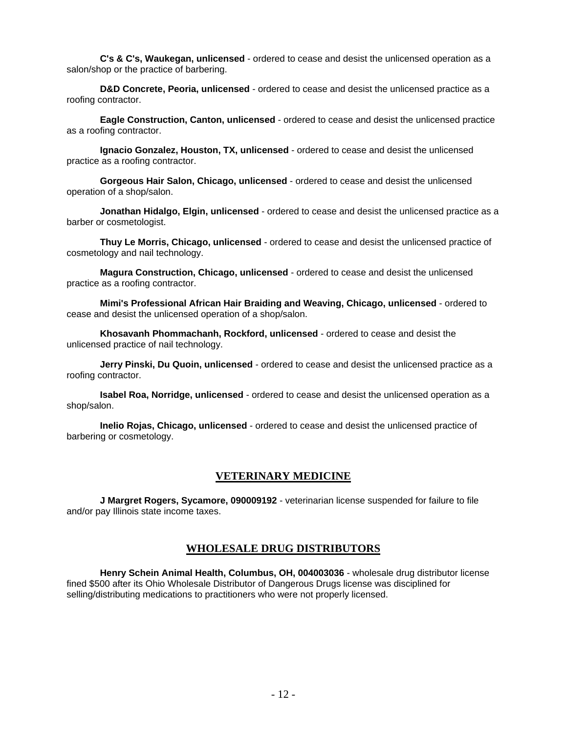**C's & C's, Waukegan, unlicensed** - ordered to cease and desist the unlicensed operation as a salon/shop or the practice of barbering.

**D&D Concrete, Peoria, unlicensed** - ordered to cease and desist the unlicensed practice as a roofing contractor.

**Eagle Construction, Canton, unlicensed** - ordered to cease and desist the unlicensed practice as a roofing contractor.

**Ignacio Gonzalez, Houston, TX, unlicensed** - ordered to cease and desist the unlicensed practice as a roofing contractor.

**Gorgeous Hair Salon, Chicago, unlicensed** - ordered to cease and desist the unlicensed operation of a shop/salon.

**Jonathan Hidalgo, Elgin, unlicensed** - ordered to cease and desist the unlicensed practice as a barber or cosmetologist.

**Thuy Le Morris, Chicago, unlicensed** - ordered to cease and desist the unlicensed practice of cosmetology and nail technology.

**Magura Construction, Chicago, unlicensed** - ordered to cease and desist the unlicensed practice as a roofing contractor.

**Mimi's Professional African Hair Braiding and Weaving, Chicago, unlicensed** - ordered to cease and desist the unlicensed operation of a shop/salon.

**Khosavanh Phommachanh, Rockford, unlicensed** - ordered to cease and desist the unlicensed practice of nail technology.

**Jerry Pinski, Du Quoin, unlicensed** - ordered to cease and desist the unlicensed practice as a roofing contractor.

**Isabel Roa, Norridge, unlicensed** - ordered to cease and desist the unlicensed operation as a shop/salon.

**Inelio Rojas, Chicago, unlicensed** - ordered to cease and desist the unlicensed practice of barbering or cosmetology.

#### **VETERINARY MEDICINE**

**J Margret Rogers, Sycamore, 090009192** - veterinarian license suspended for failure to file and/or pay Illinois state income taxes.

#### **WHOLESALE DRUG DISTRIBUTORS**

**Henry Schein Animal Health, Columbus, OH, 004003036** - wholesale drug distributor license fined \$500 after its Ohio Wholesale Distributor of Dangerous Drugs license was disciplined for selling/distributing medications to practitioners who were not properly licensed.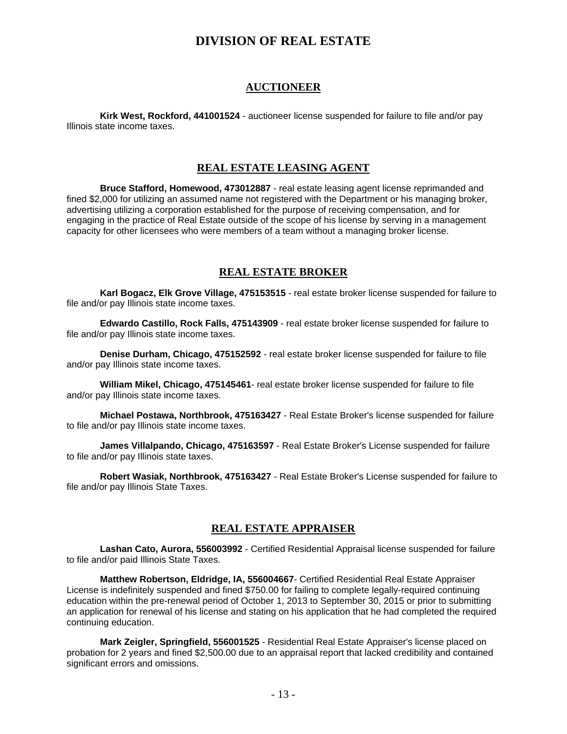## **DIVISION OF REAL ESTATE**

#### **AUCTIONEER**

**Kirk West, Rockford, 441001524** - auctioneer license suspended for failure to file and/or pay Illinois state income taxes.

#### **REAL ESTATE LEASING AGENT**

**Bruce Stafford, Homewood, 473012887** - real estate leasing agent license reprimanded and fined \$2,000 for utilizing an assumed name not registered with the Department or his managing broker, advertising utilizing a corporation established for the purpose of receiving compensation, and for engaging in the practice of Real Estate outside of the scope of his license by serving in a management capacity for other licensees who were members of a team without a managing broker license.

#### **REAL ESTATE BROKER**

**Karl Bogacz, Elk Grove Village, 475153515** - real estate broker license suspended for failure to file and/or pay Illinois state income taxes.

**Edwardo Castillo, Rock Falls, 475143909** - real estate broker license suspended for failure to file and/or pay Illinois state income taxes.

**Denise Durham, Chicago, 475152592** - real estate broker license suspended for failure to file and/or pay Illinois state income taxes.

**William Mikel, Chicago, 475145461**- real estate broker license suspended for failure to file and/or pay Illinois state income taxes.

**Michael Postawa, Northbrook, 475163427** - Real Estate Broker's license suspended for failure to file and/or pay Illinois state income taxes.

**James Villalpando, Chicago, 475163597** - Real Estate Broker's License suspended for failure to file and/or pay Illinois state taxes.

**Robert Wasiak, Northbrook, 475163427** - Real Estate Broker's License suspended for failure to file and/or pay Illinois State Taxes.

#### **REAL ESTATE APPRAISER**

**Lashan Cato, Aurora, 556003992** - Certified Residential Appraisal license suspended for failure to file and/or paid Illinois State Taxes.

**Matthew Robertson, Eldridge, IA, 556004667**- Certified Residential Real Estate Appraiser License is indefinitely suspended and fined \$750.00 for failing to complete legally-required continuing education within the pre-renewal period of October 1, 2013 to September 30, 2015 or prior to submitting an application for renewal of his license and stating on his application that he had completed the required continuing education.

**Mark Zeigler, Springfield, 556001525** - Residential Real Estate Appraiser's license placed on probation for 2 years and fined \$2,500.00 due to an appraisal report that lacked credibility and contained significant errors and omissions.